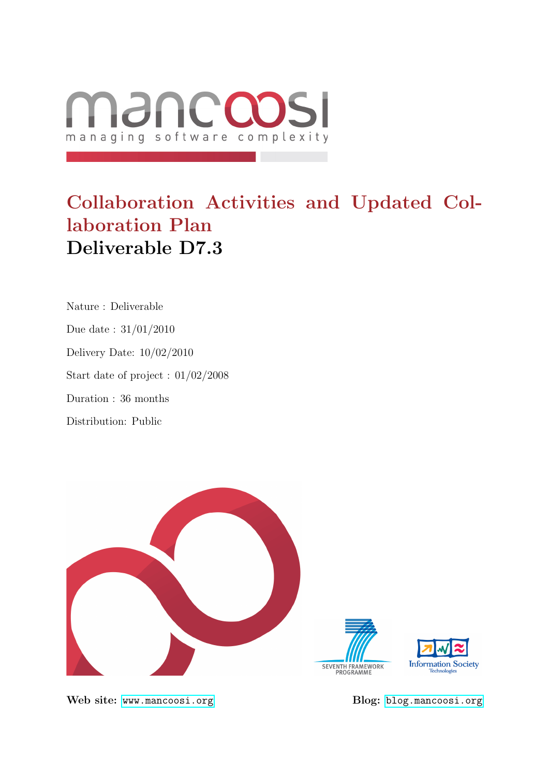

# Collaboration Activities and Updated Collaboration Plan Deliverable D7.3

Nature : Deliverable Due date : 31/01/2010 Delivery Date: 10/02/2010 Start date of project : 01/02/2008 Duration : 36 months Distribution: Public



Web site: <www.mancoosi.org> Blog: <blog.mancoosi.org>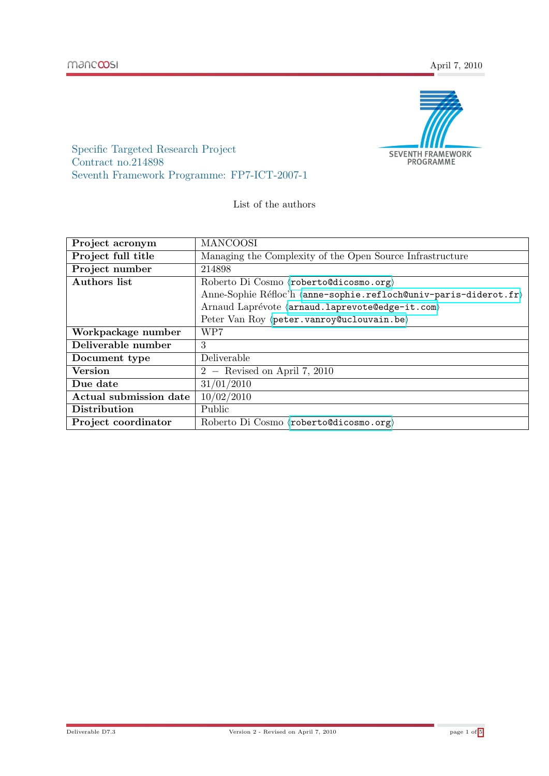

Specific Targeted Research Project Contract no.214898 Seventh Framework Programme: FP7-ICT-2007-1

List of the authors

| Project acronym               | <b>MANCOOSI</b>                                                  |
|-------------------------------|------------------------------------------------------------------|
| Project full title            | Managing the Complexity of the Open Source Infrastructure        |
| Project number                | 214898                                                           |
| <b>Authors list</b>           | Roberto Di Cosmo $\langle$ roberto@dicosmo.org $\rangle$         |
|                               | Anne-Sophie Réfloc'h (anne-sophie.refloch@univ-paris-diderot.fr) |
|                               | Arnaud Laprévote (arnaud.laprevote@edge-it.com)                  |
|                               | Peter Van Roy (peter.vanroy@uclouvain.be)                        |
| Workpackage number            | WP7                                                              |
| Deliverable number            | 3                                                                |
| Document type                 | Deliverable                                                      |
| <b>Version</b>                | $2 -$ Revised on April 7, 2010                                   |
| Due date                      | 31/01/2010                                                       |
| <b>Actual submission date</b> | 10/02/2010                                                       |
| Distribution                  | Public                                                           |
| Project coordinator           | Roberto Di Cosmo $\langle$ roberto@dicosmo.org $\rangle$         |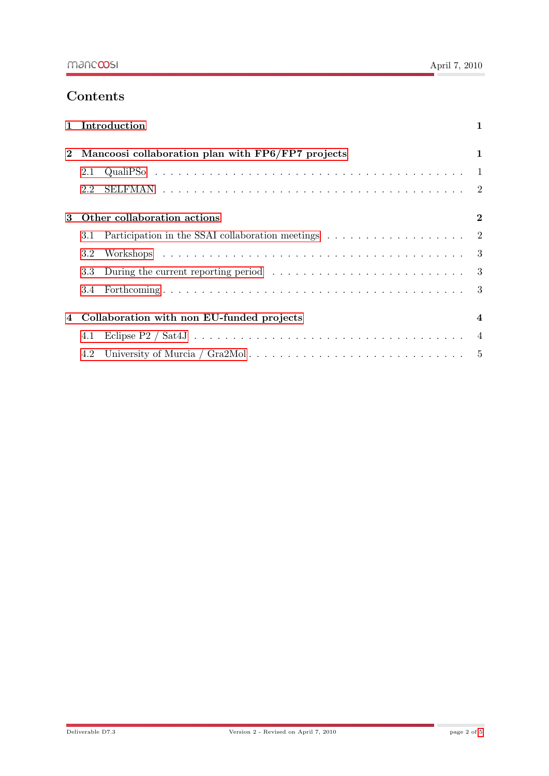## **Contents**

| $\mathbf{1}$                                              |                                                   | Introduction                                                                                      | 1 |
|-----------------------------------------------------------|---------------------------------------------------|---------------------------------------------------------------------------------------------------|---|
| $\bf{2}$                                                  | Mancoosi collaboration plan with FP6/FP7 projects |                                                                                                   |   |
|                                                           | 2.1                                               |                                                                                                   |   |
|                                                           | 2.2                                               |                                                                                                   |   |
| Other collaboration actions<br>$\boldsymbol{\mathcal{S}}$ |                                                   | $\bf{2}$                                                                                          |   |
|                                                           | 3.1                                               |                                                                                                   |   |
|                                                           | 3.2                                               |                                                                                                   |   |
|                                                           | 3.3                                               | During the current reporting period $\dots \dots \dots \dots \dots \dots \dots \dots \dots \dots$ |   |
|                                                           | 3.4                                               |                                                                                                   |   |
| 4                                                         | Collaboration with non EU-funded projects         |                                                                                                   | 4 |
|                                                           | 4.1                                               |                                                                                                   |   |
|                                                           | 4.2                                               |                                                                                                   |   |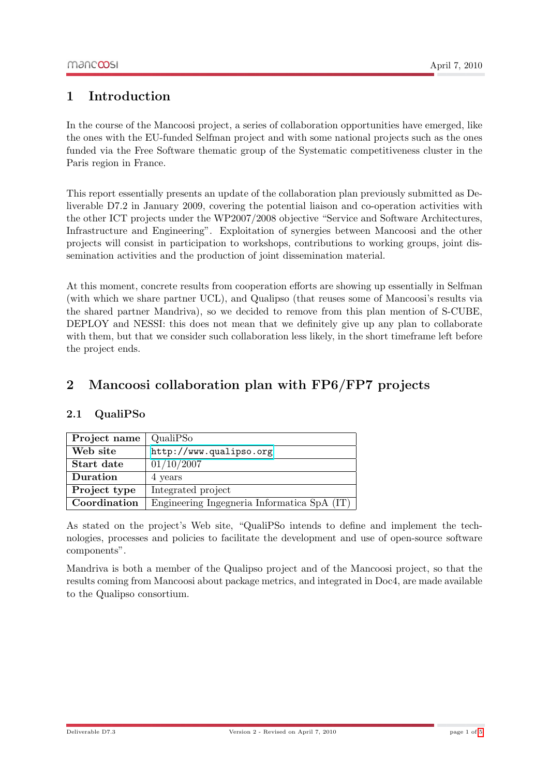## <span id="page-3-0"></span>1 Introduction

In the course of the Mancoosi project, a series of collaboration opportunities have emerged, like the ones with the EU-funded Selfman project and with some national projects such as the ones funded via the Free Software thematic group of the Systematic competitiveness cluster in the Paris region in France.

This report essentially presents an update of the collaboration plan previously submitted as Deliverable D7.2 in January 2009, covering the potential liaison and co-operation activities with the other ICT projects under the WP2007/2008 objective "Service and Software Architectures, Infrastructure and Engineering". Exploitation of synergies between Mancoosi and the other projects will consist in participation to workshops, contributions to working groups, joint dissemination activities and the production of joint dissemination material.

At this moment, concrete results from cooperation efforts are showing up essentially in Selfman (with which we share partner UCL), and Qualipso (that reuses some of Mancoosi's results via the shared partner Mandriva), so we decided to remove from this plan mention of S-CUBE, DEPLOY and NESSI: this does not mean that we definitely give up any plan to collaborate with them, but that we consider such collaboration less likely, in the short timeframe left before the project ends.

## <span id="page-3-1"></span>2 Mancoosi collaboration plan with FP6/FP7 projects

#### <span id="page-3-2"></span>2.1 QualiPSo

| Project name | QualiPSo                                    |
|--------------|---------------------------------------------|
| Web site     | http://www.qualipso.org                     |
| Start date   | 01/10/2007                                  |
| Duration     | 4 years                                     |
| Project type | Integrated project                          |
| Coordination | Engineering Ingegneria Informatica SpA (IT) |

As stated on the project's Web site, "QualiPSo intends to define and implement the technologies, processes and policies to facilitate the development and use of open-source software components".

Mandriva is both a member of the Qualipso project and of the Mancoosi project, so that the results coming from Mancoosi about package metrics, and integrated in Doc4, are made available to the Qualipso consortium.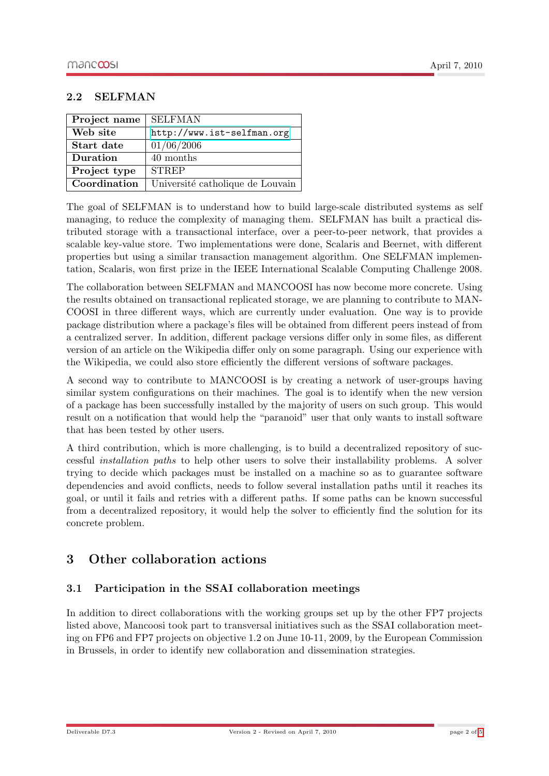#### <span id="page-4-0"></span>2.2 SELFMAN

| Project name | <b>SELFMAN</b>                   |
|--------------|----------------------------------|
| Web site     | http://www.ist-selfman.org       |
| Start date   | 01/06/2006                       |
| Duration     | 40 months                        |
| Project type | <b>STREP</b>                     |
| Coordination | Université catholique de Louvain |

The goal of SELFMAN is to understand how to build large-scale distributed systems as self managing, to reduce the complexity of managing them. SELFMAN has built a practical distributed storage with a transactional interface, over a peer-to-peer network, that provides a scalable key-value store. Two implementations were done, Scalaris and Beernet, with different properties but using a similar transaction management algorithm. One SELFMAN implementation, Scalaris, won first prize in the IEEE International Scalable Computing Challenge 2008.

The collaboration between SELFMAN and MANCOOSI has now become more concrete. Using the results obtained on transactional replicated storage, we are planning to contribute to MAN-COOSI in three different ways, which are currently under evaluation. One way is to provide package distribution where a package's files will be obtained from different peers instead of from a centralized server. In addition, different package versions differ only in some files, as different version of an article on the Wikipedia differ only on some paragraph. Using our experience with the Wikipedia, we could also store efficiently the different versions of software packages.

A second way to contribute to MANCOOSI is by creating a network of user-groups having similar system configurations on their machines. The goal is to identify when the new version of a package has been successfully installed by the majority of users on such group. This would result on a notification that would help the "paranoid" user that only wants to install software that has been tested by other users.

A third contribution, which is more challenging, is to build a decentralized repository of successful installation paths to help other users to solve their installability problems. A solver trying to decide which packages must be installed on a machine so as to guarantee software dependencies and avoid conflicts, needs to follow several installation paths until it reaches its goal, or until it fails and retries with a different paths. If some paths can be known successful from a decentralized repository, it would help the solver to efficiently find the solution for its concrete problem.

## <span id="page-4-1"></span>3 Other collaboration actions

#### <span id="page-4-2"></span>3.1 Participation in the SSAI collaboration meetings

In addition to direct collaborations with the working groups set up by the other FP7 projects listed above, Mancoosi took part to transversal initiatives such as the SSAI collaboration meeting on FP6 and FP7 projects on objective 1.2 on June 10-11, 2009, by the European Commission in Brussels, in order to identify new collaboration and dissemination strategies.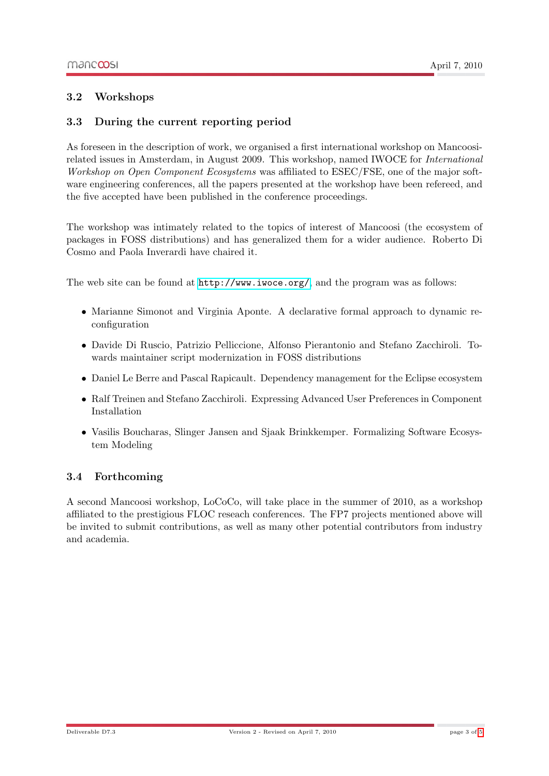#### <span id="page-5-0"></span>3.2 Workshops

#### <span id="page-5-1"></span>3.3 During the current reporting period

As foreseen in the description of work, we organised a first international workshop on Mancoosirelated issues in Amsterdam, in August 2009. This workshop, named IWOCE for International Workshop on Open Component Ecosystems was affiliated to ESEC/FSE, one of the major software engineering conferences, all the papers presented at the workshop have been refereed, and the five accepted have been published in the conference proceedings.

The workshop was intimately related to the topics of interest of Mancoosi (the ecosystem of packages in FOSS distributions) and has generalized them for a wider audience. Roberto Di Cosmo and Paola Inverardi have chaired it.

The web site can be found at <http://www.iwoce.org/>, and the program was as follows:

- Marianne Simonot and Virginia Aponte. A declarative formal approach to dynamic reconfiguration
- Davide Di Ruscio, Patrizio Pelliccione, Alfonso Pierantonio and Stefano Zacchiroli. Towards maintainer script modernization in FOSS distributions
- Daniel Le Berre and Pascal Rapicault. Dependency management for the Eclipse ecosystem
- Ralf Treinen and Stefano Zacchiroli. Expressing Advanced User Preferences in Component Installation
- Vasilis Boucharas, Slinger Jansen and Sjaak Brinkkemper. Formalizing Software Ecosystem Modeling

#### <span id="page-5-2"></span>3.4 Forthcoming

A second Mancoosi workshop, LoCoCo, will take place in the summer of 2010, as a workshop affiliated to the prestigious FLOC reseach conferences. The FP7 projects mentioned above will be invited to submit contributions, as well as many other potential contributors from industry and academia.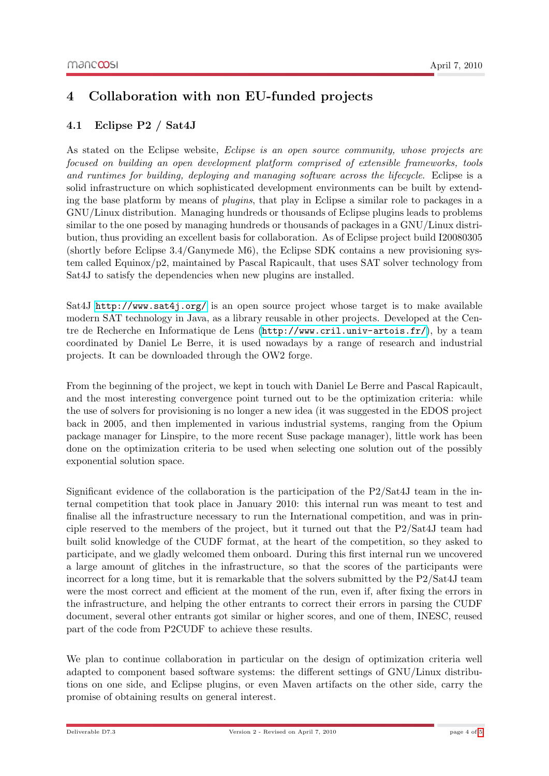## <span id="page-6-0"></span>4 Collaboration with non EU-funded projects

#### <span id="page-6-1"></span>4.1 Eclipse P2 / Sat4J

As stated on the Eclipse website, *Eclipse is an open source community, whose projects are* focused on building an open development platform comprised of extensible frameworks, tools and runtimes for building, deploying and managing software across the lifecycle. Eclipse is a solid infrastructure on which sophisticated development environments can be built by extending the base platform by means of plugins, that play in Eclipse a similar role to packages in a GNU/Linux distribution. Managing hundreds or thousands of Eclipse plugins leads to problems similar to the one posed by managing hundreds or thousands of packages in a GNU/Linux distribution, thus providing an excellent basis for collaboration. As of Eclipse project build I20080305 (shortly before Eclipse 3.4/Ganymede M6), the Eclipse SDK contains a new provisioning system called Equinox/p2, maintained by Pascal Rapicault, that uses SAT solver technology from Sat4J to satisfy the dependencies when new plugins are installed.

Sat4J <http://www.sat4j.org/> is an open source project whose target is to make available modern SAT technology in Java, as a library reusable in other projects. Developed at the Centre de Recherche en Informatique de Lens (<http://www.cril.univ-artois.fr/>), by a team coordinated by Daniel Le Berre, it is used nowadays by a range of research and industrial projects. It can be downloaded through the OW2 forge.

From the beginning of the project, we kept in touch with Daniel Le Berre and Pascal Rapicault, and the most interesting convergence point turned out to be the optimization criteria: while the use of solvers for provisioning is no longer a new idea (it was suggested in the EDOS project back in 2005, and then implemented in various industrial systems, ranging from the Opium package manager for Linspire, to the more recent Suse package manager), little work has been done on the optimization criteria to be used when selecting one solution out of the possibly exponential solution space.

Significant evidence of the collaboration is the participation of the P2/Sat4J team in the internal competition that took place in January 2010: this internal run was meant to test and finalise all the infrastructure necessary to run the International competition, and was in principle reserved to the members of the project, but it turned out that the P2/Sat4J team had built solid knowledge of the CUDF format, at the heart of the competition, so they asked to participate, and we gladly welcomed them onboard. During this first internal run we uncovered a large amount of glitches in the infrastructure, so that the scores of the participants were incorrect for a long time, but it is remarkable that the solvers submitted by the P2/Sat4J team were the most correct and efficient at the moment of the run, even if, after fixing the errors in the infrastructure, and helping the other entrants to correct their errors in parsing the CUDF document, several other entrants got similar or higher scores, and one of them, INESC, reused part of the code from P2CUDF to achieve these results.

We plan to continue collaboration in particular on the design of optimization criteria well adapted to component based software systems: the different settings of GNU/Linux distributions on one side, and Eclipse plugins, or even Maven artifacts on the other side, carry the promise of obtaining results on general interest.